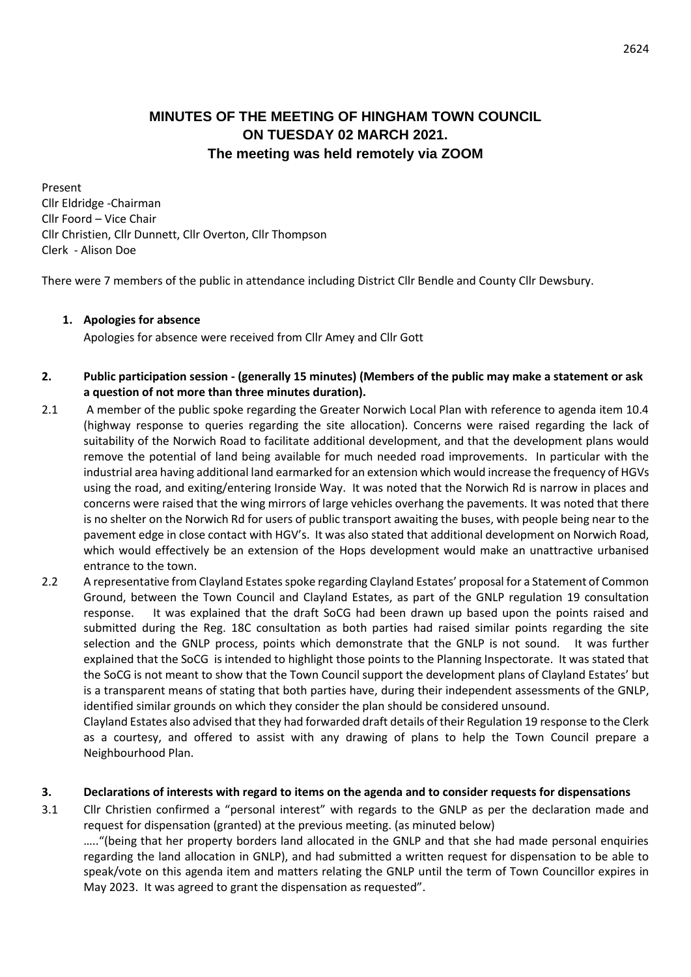# **MINUTES OF THE MEETING OF HINGHAM TOWN COUNCIL ON TUESDAY 02 MARCH 2021. The meeting was held remotely via ZOOM**

Present Cllr Eldridge -Chairman Cllr Foord – Vice Chair Cllr Christien, Cllr Dunnett, Cllr Overton, Cllr Thompson Clerk - Alison Doe

There were 7 members of the public in attendance including District Cllr Bendle and County Cllr Dewsbury.

#### **1. Apologies for absence**

Apologies for absence were received from Cllr Amey and Cllr Gott

#### **2. Public participation session - (generally 15 minutes) (Members of the public may make a statement or ask a question of not more than three minutes duration).**

- 2.1 A member of the public spoke regarding the Greater Norwich Local Plan with reference to agenda item 10.4 (highway response to queries regarding the site allocation). Concerns were raised regarding the lack of suitability of the Norwich Road to facilitate additional development, and that the development plans would remove the potential of land being available for much needed road improvements. In particular with the industrial area having additional land earmarked for an extension which would increase the frequency of HGVs using the road, and exiting/entering Ironside Way. It was noted that the Norwich Rd is narrow in places and concerns were raised that the wing mirrors of large vehicles overhang the pavements. It was noted that there is no shelter on the Norwich Rd for users of public transport awaiting the buses, with people being near to the pavement edge in close contact with HGV's. It was also stated that additional development on Norwich Road, which would effectively be an extension of the Hops development would make an unattractive urbanised entrance to the town.
- 2.2 A representative from Clayland Estates spoke regarding Clayland Estates' proposal for a Statement of Common Ground, between the Town Council and Clayland Estates, as part of the GNLP regulation 19 consultation response. It was explained that the draft SoCG had been drawn up based upon the points raised and submitted during the Reg. 18C consultation as both parties had raised similar points regarding the site selection and the GNLP process, points which demonstrate that the GNLP is not sound. It was further explained that the SoCG is intended to highlight those points to the Planning Inspectorate. It was stated that the SoCG is not meant to show that the Town Council support the development plans of Clayland Estates' but is a transparent means of stating that both parties have, during their independent assessments of the GNLP, identified similar grounds on which they consider the plan should be considered unsound.

Clayland Estates also advised that they had forwarded draft details of their Regulation 19 response to the Clerk as a courtesy, and offered to assist with any drawing of plans to help the Town Council prepare a Neighbourhood Plan.

#### **3. Declarations of interests with regard to items on the agenda and to consider requests for dispensations**

3.1 Cllr Christien confirmed a "personal interest" with regards to the GNLP as per the declaration made and request for dispensation (granted) at the previous meeting. (as minuted below)

….."(being that her property borders land allocated in the GNLP and that she had made personal enquiries regarding the land allocation in GNLP), and had submitted a written request for dispensation to be able to speak/vote on this agenda item and matters relating the GNLP until the term of Town Councillor expires in May 2023. It was agreed to grant the dispensation as requested".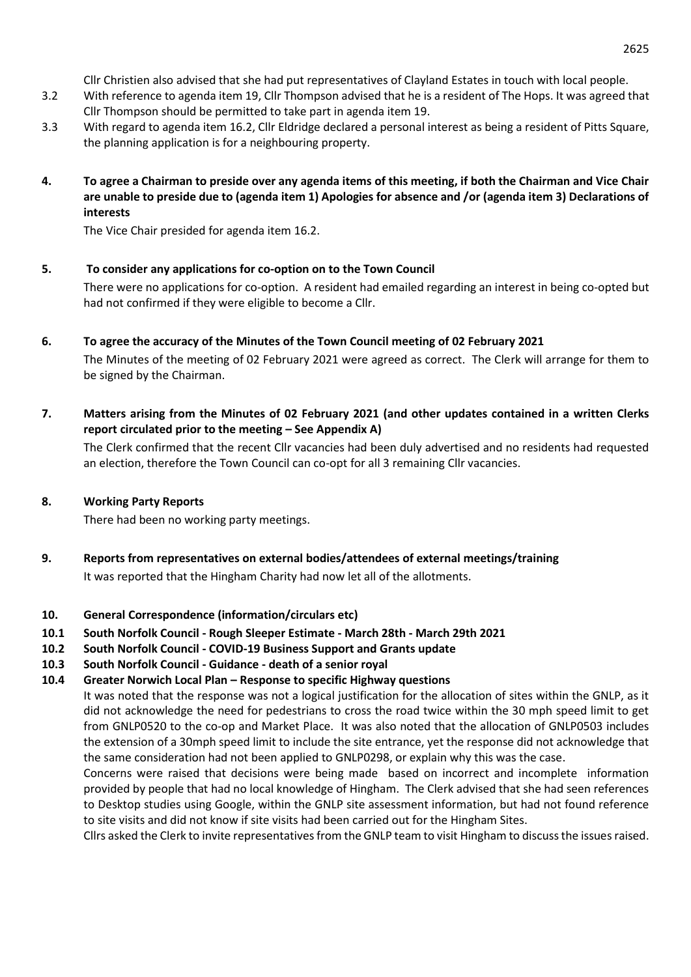Cllr Christien also advised that she had put representatives of Clayland Estates in touch with local people.

- 3.2 With reference to agenda item 19, Cllr Thompson advised that he is a resident of The Hops. It was agreed that Cllr Thompson should be permitted to take part in agenda item 19.
- 3.3 With regard to agenda item 16.2, Cllr Eldridge declared a personal interest as being a resident of Pitts Square, the planning application is for a neighbouring property.
- **4. To agree a Chairman to preside over any agenda items of this meeting, if both the Chairman and Vice Chair are unable to preside due to (agenda item 1) Apologies for absence and /or (agenda item 3) Declarations of interests**

The Vice Chair presided for agenda item 16.2.

# **5. To consider any applications for co-option on to the Town Council**

There were no applications for co-option. A resident had emailed regarding an interest in being co-opted but had not confirmed if they were eligible to become a Cllr.

- **6. To agree the accuracy of the Minutes of the Town Council meeting of 02 February 2021** The Minutes of the meeting of 02 February 2021 were agreed as correct. The Clerk will arrange for them to be signed by the Chairman.
- **7. Matters arising from the Minutes of 02 February 2021 (and other updates contained in a written Clerks report circulated prior to the meeting – See Appendix A)**

The Clerk confirmed that the recent Cllr vacancies had been duly advertised and no residents had requested an election, therefore the Town Council can co-opt for all 3 remaining Cllr vacancies.

## **8. Working Party Reports**

There had been no working party meetings.

**9. Reports from representatives on external bodies/attendees of external meetings/training** It was reported that the Hingham Charity had now let all of the allotments.

# **10. General Correspondence (information/circulars etc)**

- **10.1 South Norfolk Council - Rough Sleeper Estimate - March 28th - March 29th 2021**
- **10.2 South Norfolk Council - COVID-19 Business Support and Grants update**
- **10.3 South Norfolk Council - Guidance - death of a senior royal**
- **10.4 Greater Norwich Local Plan – Response to specific Highway questions**

It was noted that the response was not a logical justification for the allocation of sites within the GNLP, as it did not acknowledge the need for pedestrians to cross the road twice within the 30 mph speed limit to get from GNLP0520 to the co-op and Market Place. It was also noted that the allocation of GNLP0503 includes the extension of a 30mph speed limit to include the site entrance, yet the response did not acknowledge that the same consideration had not been applied to GNLP0298, or explain why this was the case.

Concerns were raised that decisions were being made based on incorrect and incomplete information provided by people that had no local knowledge of Hingham. The Clerk advised that she had seen references to Desktop studies using Google, within the GNLP site assessment information, but had not found reference to site visits and did not know if site visits had been carried out for the Hingham Sites.

Cllrs asked the Clerk to invite representatives from the GNLP team to visit Hingham to discuss the issues raised.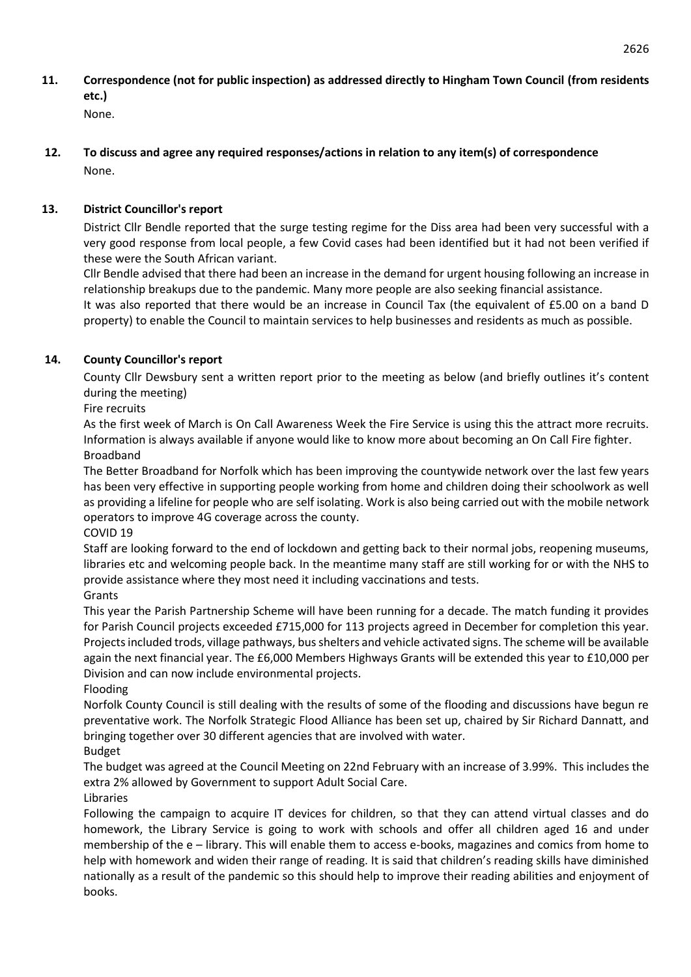- **11. Correspondence (not for public inspection) as addressed directly to Hingham Town Council (from residents etc.)** None.
- **12. To discuss and agree any required responses/actions in relation to any item(s) of correspondence**  None.

# **13. District Councillor's report**

District Cllr Bendle reported that the surge testing regime for the Diss area had been very successful with a very good response from local people, a few Covid cases had been identified but it had not been verified if these were the South African variant.

Cllr Bendle advised that there had been an increase in the demand for urgent housing following an increase in relationship breakups due to the pandemic. Many more people are also seeking financial assistance.

It was also reported that there would be an increase in Council Tax (the equivalent of £5.00 on a band D property) to enable the Council to maintain services to help businesses and residents as much as possible.

# **14. County Councillor's report**

County Cllr Dewsbury sent a written report prior to the meeting as below (and briefly outlines it's content during the meeting)

Fire recruits

As the first week of March is On Call Awareness Week the Fire Service is using this the attract more recruits. Information is always available if anyone would like to know more about becoming an On Call Fire fighter. Broadband

The Better Broadband for Norfolk which has been improving the countywide network over the last few years has been very effective in supporting people working from home and children doing their schoolwork as well as providing a lifeline for people who are self isolating. Work is also being carried out with the mobile network operators to improve 4G coverage across the county.

COVID 19

Staff are looking forward to the end of lockdown and getting back to their normal jobs, reopening museums, libraries etc and welcoming people back. In the meantime many staff are still working for or with the NHS to provide assistance where they most need it including vaccinations and tests.

## Grants

This year the Parish Partnership Scheme will have been running for a decade. The match funding it provides for Parish Council projects exceeded £715,000 for 113 projects agreed in December for completion this year. Projects included trods, village pathways, bus shelters and vehicle activated signs. The scheme will be available again the next financial year. The £6,000 Members Highways Grants will be extended this year to £10,000 per Division and can now include environmental projects.

Flooding

Norfolk County Council is still dealing with the results of some of the flooding and discussions have begun re preventative work. The Norfolk Strategic Flood Alliance has been set up, chaired by Sir Richard Dannatt, and bringing together over 30 different agencies that are involved with water.

Budget

The budget was agreed at the Council Meeting on 22nd February with an increase of 3.99%. This includes the extra 2% allowed by Government to support Adult Social Care.

Libraries

Following the campaign to acquire IT devices for children, so that they can attend virtual classes and do homework, the Library Service is going to work with schools and offer all children aged 16 and under membership of the e – library. This will enable them to access e-books, magazines and comics from home to help with homework and widen their range of reading. It is said that children's reading skills have diminished nationally as a result of the pandemic so this should help to improve their reading abilities and enjoyment of books.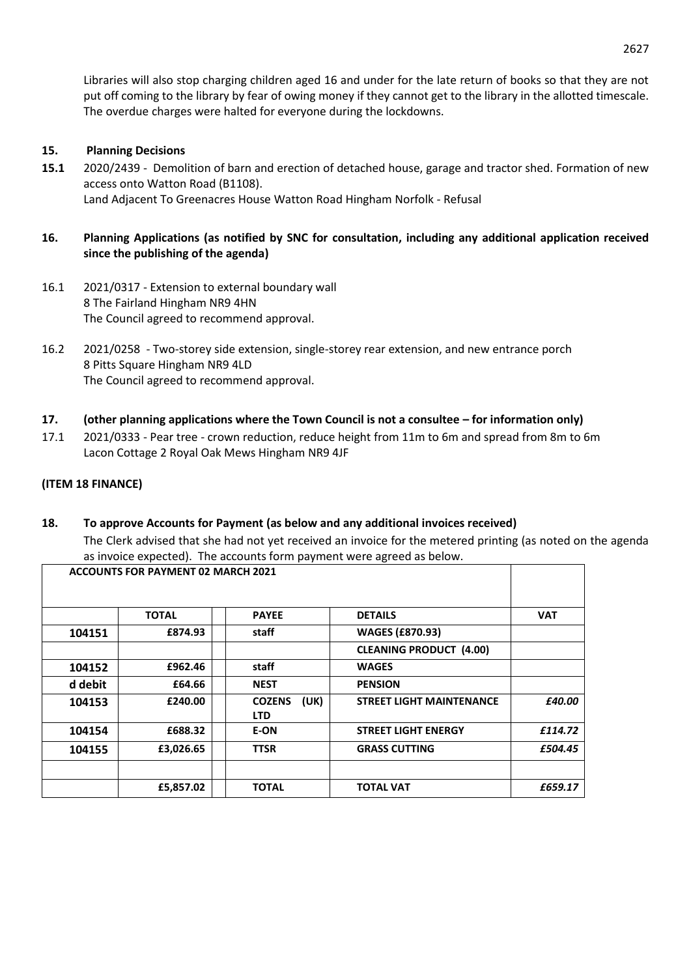Libraries will also stop charging children aged 16 and under for the late return of books so that they are not put off coming to the library by fear of owing money if they cannot get to the library in the allotted timescale. The overdue charges were halted for everyone during the lockdowns.

### **15. Planning Decisions**

**15.1** 2020/2439 - Demolition of barn and erection of detached house, garage and tractor shed. Formation of new access onto Watton Road (B1108). Land Adjacent To Greenacres House Watton Road Hingham Norfolk - Refusal

### **16. Planning Applications (as notified by SNC for consultation, including any additional application received since the publishing of the agenda)**

- 16.1 2021/0317 Extension to external boundary wall 8 The Fairland Hingham NR9 4HN The Council agreed to recommend approval.
- 16.2 2021/0258 Two-storey side extension, single-storey rear extension, and new entrance porch 8 Pitts Square Hingham NR9 4LD The Council agreed to recommend approval.
- **17. (other planning applications where the Town Council is not a consultee – for information only)**
- 17.1 2021/0333 Pear tree crown reduction, reduce height from 11m to 6m and spread from 8m to 6m Lacon Cottage 2 Royal Oak Mews Hingham NR9 4JF

#### **(ITEM 18 FINANCE)**

# **18. To approve Accounts for Payment (as below and any additional invoices received)** The Clerk advised that she had not yet received an invoice for the metered printing (as noted on the agenda as invoice expected). The accounts form payment were agreed as below.

|         | <b>ACCOUNTS FOR PAYMENT 02 MARCH 2021</b> |                                     |                                 |            |
|---------|-------------------------------------------|-------------------------------------|---------------------------------|------------|
|         |                                           |                                     |                                 |            |
|         | <b>TOTAL</b>                              | <b>PAYEE</b>                        | <b>DETAILS</b>                  | <b>VAT</b> |
| 104151  | £874.93                                   | staff                               | <b>WAGES (£870.93)</b>          |            |
|         |                                           |                                     | <b>CLEANING PRODUCT (4.00)</b>  |            |
| 104152  | £962.46                                   | staff                               | <b>WAGES</b>                    |            |
| d debit | £64.66                                    | <b>NEST</b>                         | <b>PENSION</b>                  |            |
| 104153  | £240.00                                   | (UK)<br><b>COZENS</b><br><b>LTD</b> | <b>STREET LIGHT MAINTENANCE</b> | £40.00     |
| 104154  | £688.32                                   | E-ON                                | <b>STREET LIGHT ENERGY</b>      | £114.72    |
| 104155  | £3,026.65                                 | <b>TTSR</b>                         | <b>GRASS CUTTING</b>            | £504.45    |
|         |                                           |                                     |                                 |            |
|         | £5,857.02                                 | <b>TOTAL</b>                        | <b>TOTAL VAT</b>                | £659.17    |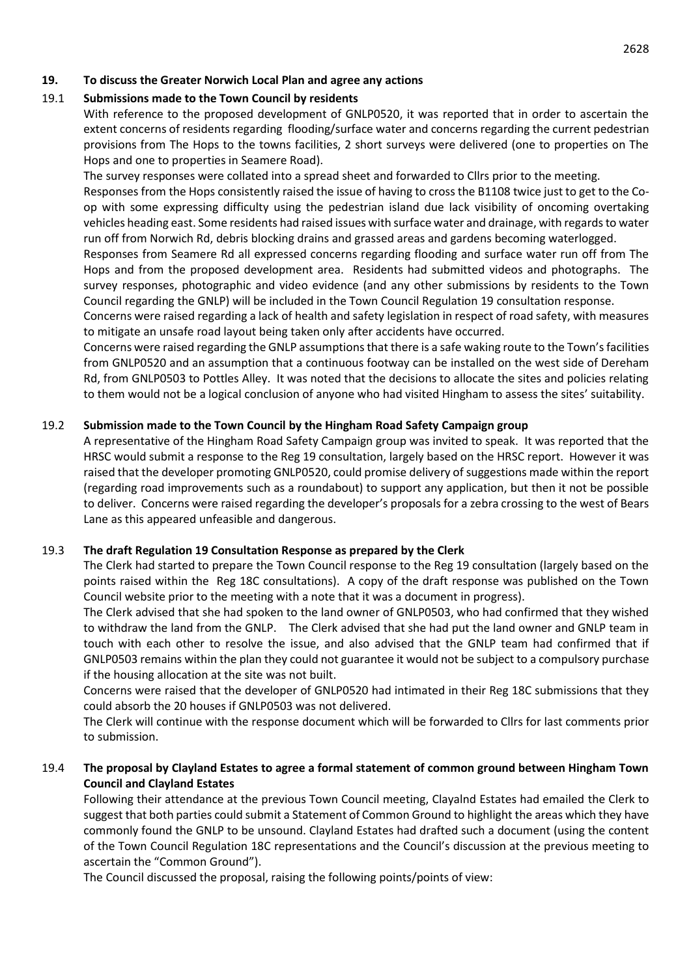#### **19. To discuss the Greater Norwich Local Plan and agree any actions**

## 19.1 **Submissions made to the Town Council by residents**

With reference to the proposed development of GNLP0520, it was reported that in order to ascertain the extent concerns of residents regarding flooding/surface water and concerns regarding the current pedestrian provisions from The Hops to the towns facilities, 2 short surveys were delivered (one to properties on The Hops and one to properties in Seamere Road).

The survey responses were collated into a spread sheet and forwarded to Cllrs prior to the meeting.

Responses from the Hops consistently raised the issue of having to cross the B1108 twice just to get to the Coop with some expressing difficulty using the pedestrian island due lack visibility of oncoming overtaking vehicles heading east. Some residents had raised issues with surface water and drainage, with regards to water run off from Norwich Rd, debris blocking drains and grassed areas and gardens becoming waterlogged.

Responses from Seamere Rd all expressed concerns regarding flooding and surface water run off from The Hops and from the proposed development area. Residents had submitted videos and photographs. The survey responses, photographic and video evidence (and any other submissions by residents to the Town Council regarding the GNLP) will be included in the Town Council Regulation 19 consultation response.

Concerns were raised regarding a lack of health and safety legislation in respect of road safety, with measures to mitigate an unsafe road layout being taken only after accidents have occurred.

Concerns were raised regarding the GNLP assumptions that there is a safe waking route to the Town's facilities from GNLP0520 and an assumption that a continuous footway can be installed on the west side of Dereham Rd, from GNLP0503 to Pottles Alley. It was noted that the decisions to allocate the sites and policies relating to them would not be a logical conclusion of anyone who had visited Hingham to assess the sites' suitability.

#### 19.2 **Submission made to the Town Council by the Hingham Road Safety Campaign group**

A representative of the Hingham Road Safety Campaign group was invited to speak. It was reported that the HRSC would submit a response to the Reg 19 consultation, largely based on the HRSC report. However it was raised that the developer promoting GNLP0520, could promise delivery of suggestions made within the report (regarding road improvements such as a roundabout) to support any application, but then it not be possible to deliver. Concerns were raised regarding the developer's proposals for a zebra crossing to the west of Bears Lane as this appeared unfeasible and dangerous.

#### 19.3 **The draft Regulation 19 Consultation Response as prepared by the Clerk**

The Clerk had started to prepare the Town Council response to the Reg 19 consultation (largely based on the points raised within the Reg 18C consultations). A copy of the draft response was published on the Town Council website prior to the meeting with a note that it was a document in progress).

The Clerk advised that she had spoken to the land owner of GNLP0503, who had confirmed that they wished to withdraw the land from the GNLP. The Clerk advised that she had put the land owner and GNLP team in touch with each other to resolve the issue, and also advised that the GNLP team had confirmed that if GNLP0503 remains within the plan they could not guarantee it would not be subject to a compulsory purchase if the housing allocation at the site was not built.

Concerns were raised that the developer of GNLP0520 had intimated in their Reg 18C submissions that they could absorb the 20 houses if GNLP0503 was not delivered.

The Clerk will continue with the response document which will be forwarded to Cllrs for last comments prior to submission.

## 19.4 **The proposal by Clayland Estates to agree a formal statement of common ground between Hingham Town Council and Clayland Estates**

Following their attendance at the previous Town Council meeting, Clayalnd Estates had emailed the Clerk to suggest that both parties could submit a Statement of Common Ground to highlight the areas which they have commonly found the GNLP to be unsound. Clayland Estates had drafted such a document (using the content of the Town Council Regulation 18C representations and the Council's discussion at the previous meeting to ascertain the "Common Ground").

The Council discussed the proposal, raising the following points/points of view: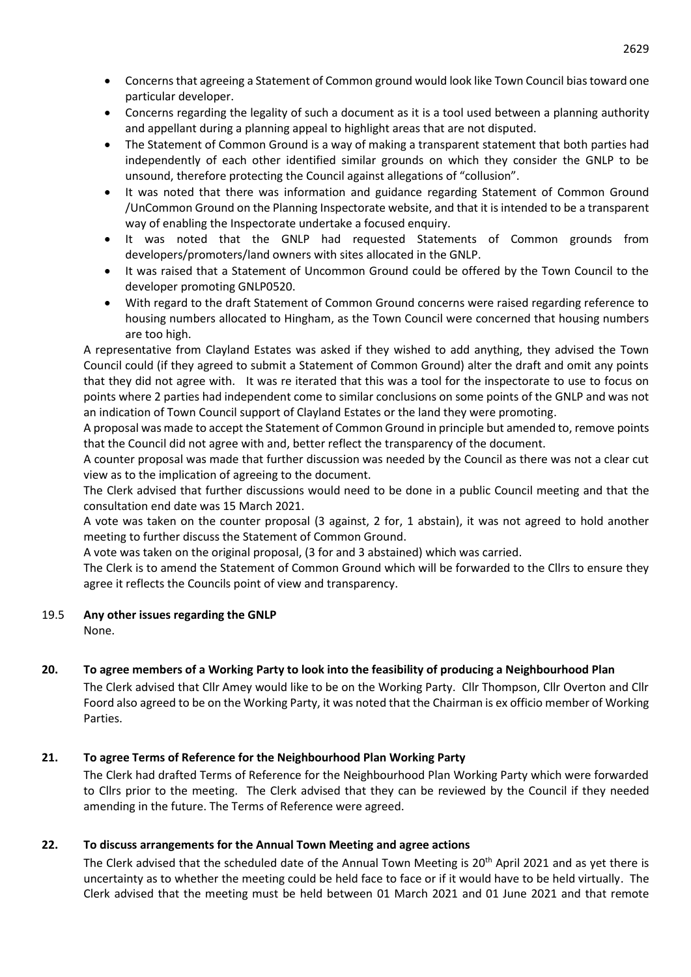- Concerns that agreeing a Statement of Common ground would look like Town Council bias toward one particular developer.
- Concerns regarding the legality of such a document as it is a tool used between a planning authority and appellant during a planning appeal to highlight areas that are not disputed.
- The Statement of Common Ground is a way of making a transparent statement that both parties had independently of each other identified similar grounds on which they consider the GNLP to be unsound, therefore protecting the Council against allegations of "collusion".
- It was noted that there was information and guidance regarding Statement of Common Ground /UnCommon Ground on the Planning Inspectorate website, and that it is intended to be a transparent way of enabling the Inspectorate undertake a focused enquiry.
- It was noted that the GNLP had requested Statements of Common grounds from developers/promoters/land owners with sites allocated in the GNLP.
- It was raised that a Statement of Uncommon Ground could be offered by the Town Council to the developer promoting GNLP0520.
- With regard to the draft Statement of Common Ground concerns were raised regarding reference to housing numbers allocated to Hingham, as the Town Council were concerned that housing numbers are too high.

A representative from Clayland Estates was asked if they wished to add anything, they advised the Town Council could (if they agreed to submit a Statement of Common Ground) alter the draft and omit any points that they did not agree with. It was re iterated that this was a tool for the inspectorate to use to focus on points where 2 parties had independent come to similar conclusions on some points of the GNLP and was not an indication of Town Council support of Clayland Estates or the land they were promoting.

A proposal was made to accept the Statement of Common Ground in principle but amended to, remove points that the Council did not agree with and, better reflect the transparency of the document.

A counter proposal was made that further discussion was needed by the Council as there was not a clear cut view as to the implication of agreeing to the document.

The Clerk advised that further discussions would need to be done in a public Council meeting and that the consultation end date was 15 March 2021.

A vote was taken on the counter proposal (3 against, 2 for, 1 abstain), it was not agreed to hold another meeting to further discuss the Statement of Common Ground.

A vote was taken on the original proposal, (3 for and 3 abstained) which was carried.

The Clerk is to amend the Statement of Common Ground which will be forwarded to the Cllrs to ensure they agree it reflects the Councils point of view and transparency.

## 19.5 **Any other issues regarding the GNLP**

None.

# **20. To agree members of a Working Party to look into the feasibility of producing a Neighbourhood Plan**

The Clerk advised that Cllr Amey would like to be on the Working Party. Cllr Thompson, Cllr Overton and Cllr Foord also agreed to be on the Working Party, it was noted that the Chairman is ex officio member of Working Parties.

# **21. To agree Terms of Reference for the Neighbourhood Plan Working Party**

The Clerk had drafted Terms of Reference for the Neighbourhood Plan Working Party which were forwarded to Cllrs prior to the meeting. The Clerk advised that they can be reviewed by the Council if they needed amending in the future. The Terms of Reference were agreed.

## **22. To discuss arrangements for the Annual Town Meeting and agree actions**

The Clerk advised that the scheduled date of the Annual Town Meeting is 20<sup>th</sup> April 2021 and as yet there is uncertainty as to whether the meeting could be held face to face or if it would have to be held virtually. The Clerk advised that the meeting must be held between 01 March 2021 and 01 June 2021 and that remote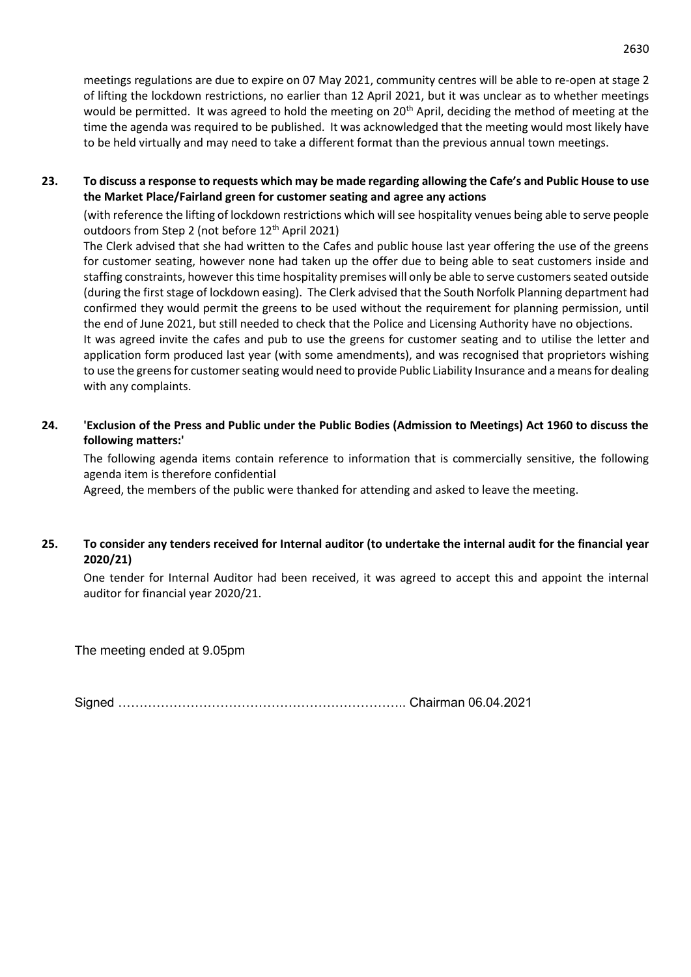meetings regulations are due to expire on 07 May 2021, community centres will be able to re-open at stage 2 of lifting the lockdown restrictions, no earlier than 12 April 2021, but it was unclear as to whether meetings would be permitted. It was agreed to hold the meeting on 20<sup>th</sup> April, deciding the method of meeting at the time the agenda was required to be published. It was acknowledged that the meeting would most likely have to be held virtually and may need to take a different format than the previous annual town meetings.

## **23. To discuss a response to requests which may be made regarding allowing the Cafe's and Public House to use the Market Place/Fairland green for customer seating and agree any actions**

(with reference the lifting of lockdown restrictions which will see hospitality venues being able to serve people outdoors from Step 2 (not before 12<sup>th</sup> April 2021)

The Clerk advised that she had written to the Cafes and public house last year offering the use of the greens for customer seating, however none had taken up the offer due to being able to seat customers inside and staffing constraints, however this time hospitality premises will only be able to serve customers seated outside (during the first stage of lockdown easing). The Clerk advised that the South Norfolk Planning department had confirmed they would permit the greens to be used without the requirement for planning permission, until the end of June 2021, but still needed to check that the Police and Licensing Authority have no objections.

It was agreed invite the cafes and pub to use the greens for customer seating and to utilise the letter and application form produced last year (with some amendments), and was recognised that proprietors wishing to use the greens for customer seating would need to provide Public Liability Insurance and a means for dealing with any complaints.

## **24. 'Exclusion of the Press and Public under the Public Bodies (Admission to Meetings) Act 1960 to discuss the following matters:'**

The following agenda items contain reference to information that is commercially sensitive, the following agenda item is therefore confidential

Agreed, the members of the public were thanked for attending and asked to leave the meeting.

## **25. To consider any tenders received for Internal auditor (to undertake the internal audit for the financial year 2020/21)**

One tender for Internal Auditor had been received, it was agreed to accept this and appoint the internal auditor for financial year 2020/21.

The meeting ended at 9.05pm

Signed ………………………………………………………….. Chairman 06.04.2021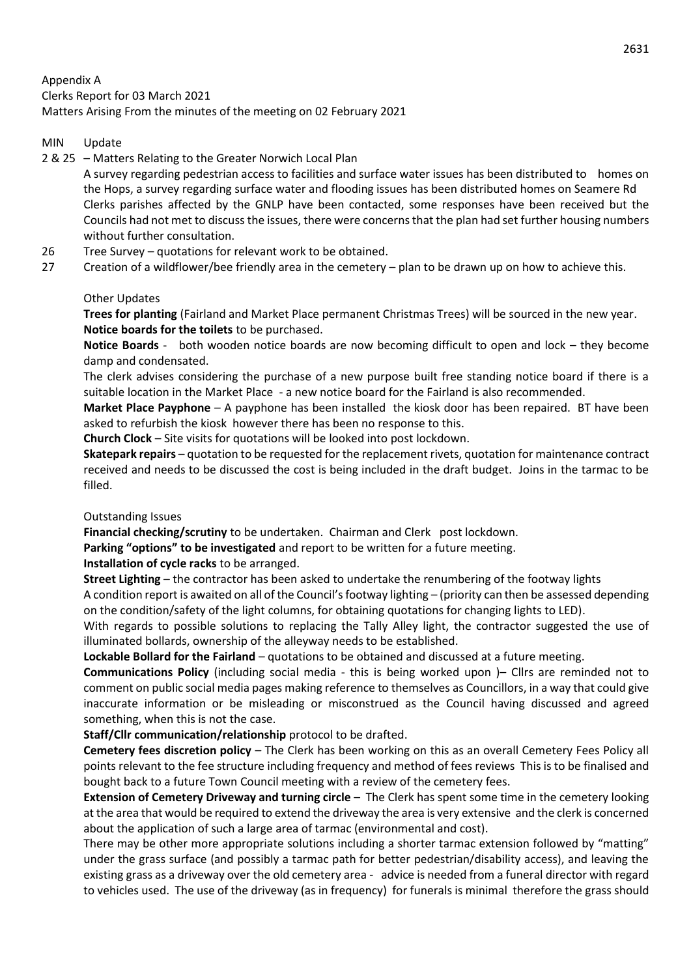Appendix A Clerks Report for 03 March 2021 Matters Arising From the minutes of the meeting on 02 February 2021

#### MIN Update

2 & 25 – Matters Relating to the Greater Norwich Local Plan

A survey regarding pedestrian access to facilities and surface water issues has been distributed to homes on the Hops, a survey regarding surface water and flooding issues has been distributed homes on Seamere Rd Clerks parishes affected by the GNLP have been contacted, some responses have been received but the Councils had not met to discuss the issues, there were concerns that the plan had set further housing numbers without further consultation.

- 26 Tree Survey quotations for relevant work to be obtained.
- 27 Creation of a wildflower/bee friendly area in the cemetery plan to be drawn up on how to achieve this.

#### Other Updates

**Trees for planting** (Fairland and Market Place permanent Christmas Trees) will be sourced in the new year. **Notice boards for the toilets** to be purchased.

**Notice Boards** - both wooden notice boards are now becoming difficult to open and lock – they become damp and condensated.

The clerk advises considering the purchase of a new purpose built free standing notice board if there is a suitable location in the Market Place - a new notice board for the Fairland is also recommended.

**Market Place Payphone** – A payphone has been installed the kiosk door has been repaired. BT have been asked to refurbish the kiosk however there has been no response to this.

**Church Clock** – Site visits for quotations will be looked into post lockdown.

**Skatepark repairs** – quotation to be requested for the replacement rivets, quotation for maintenance contract received and needs to be discussed the cost is being included in the draft budget. Joins in the tarmac to be filled.

#### Outstanding Issues

**Financial checking/scrutiny** to be undertaken. Chairman and Clerk post lockdown.

**Parking "options" to be investigated** and report to be written for a future meeting.

**Installation of cycle racks** to be arranged.

**Street Lighting** – the contractor has been asked to undertake the renumbering of the footway lights

A condition report is awaited on all of the Council's footway lighting – (priority can then be assessed depending on the condition/safety of the light columns, for obtaining quotations for changing lights to LED).

With regards to possible solutions to replacing the Tally Alley light, the contractor suggested the use of illuminated bollards, ownership of the alleyway needs to be established.

**Lockable Bollard for the Fairland** – quotations to be obtained and discussed at a future meeting.

**Communications Policy** (including social media - this is being worked upon )– Cllrs are reminded not to comment on public social media pages making reference to themselves as Councillors, in a way that could give inaccurate information or be misleading or misconstrued as the Council having discussed and agreed something, when this is not the case.

**Staff/Cllr communication/relationship** protocol to be drafted.

**Cemetery fees discretion policy** – The Clerk has been working on this as an overall Cemetery Fees Policy all points relevant to the fee structure including frequency and method of fees reviews This is to be finalised and bought back to a future Town Council meeting with a review of the cemetery fees.

**Extension of Cemetery Driveway and turning circle** – The Clerk has spent some time in the cemetery looking at the area that would be required to extend the driveway the area is very extensive and the clerk is concerned about the application of such a large area of tarmac (environmental and cost).

There may be other more appropriate solutions including a shorter tarmac extension followed by "matting" under the grass surface (and possibly a tarmac path for better pedestrian/disability access), and leaving the existing grass as a driveway over the old cemetery area - advice is needed from a funeral director with regard to vehicles used. The use of the driveway (as in frequency) for funerals is minimal therefore the grass should